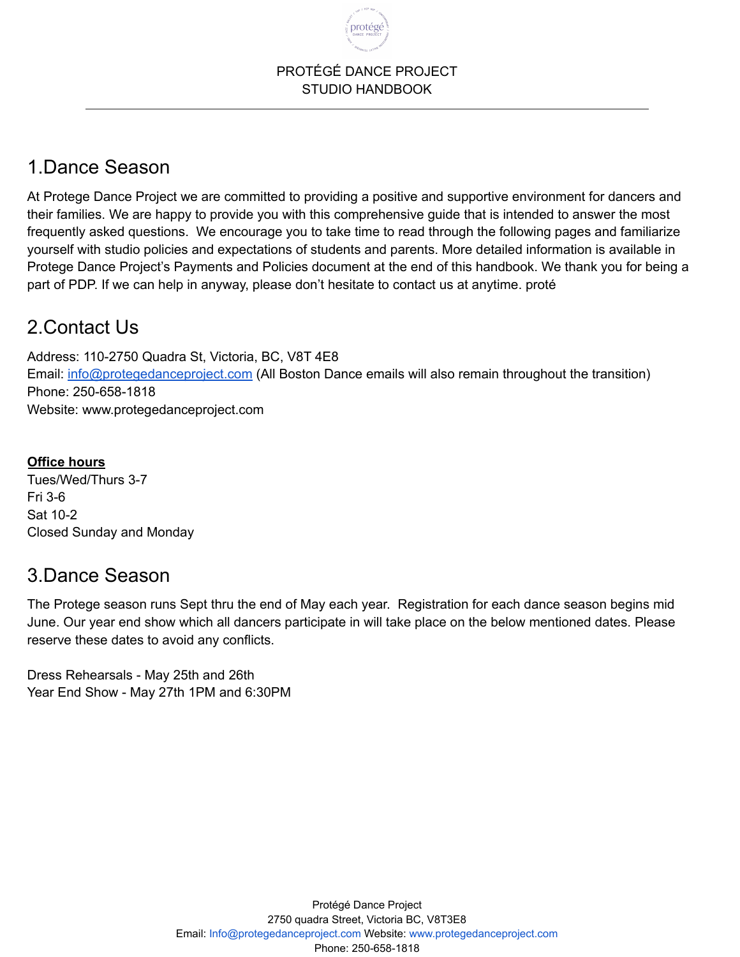

# 1.Dance Season

At Protege Dance Project we are committed to providing a positive and supportive environment for dancers and their families. We are happy to provide you with this comprehensive guide that is intended to answer the most frequently asked questions. We encourage you to take time to read through the following pages and familiarize yourself with studio policies and expectations of students and parents. More detailed information is available in Protege Dance Project's Payments and Policies document at the end of this handbook. We thank you for being a part of PDP. If we can help in anyway, please don't hesitate to contact us at anytime. proté

# 2.Contact Us

Address: 110-2750 Quadra St, Victoria, BC, V8T 4E8 Email: info@protegedanceproject.com (All Boston Dance emails will also remain throughout the transition) Phone: 250-658-1818 Website: www.protegedanceproject.com

### **Office hours**

Tues/Wed/Thurs 3-7 Fri 3-6 Sat 10-2 Closed Sunday and Monday

# 3.Dance Season

The Protege season runs Sept thru the end of May each year. Registration for each dance season begins mid June. Our year end show which all dancers participate in will take place on the below mentioned dates. Please reserve these dates to avoid any conflicts.

Dress Rehearsals - May 25th and 26th Year End Show - May 27th 1PM and 6:30PM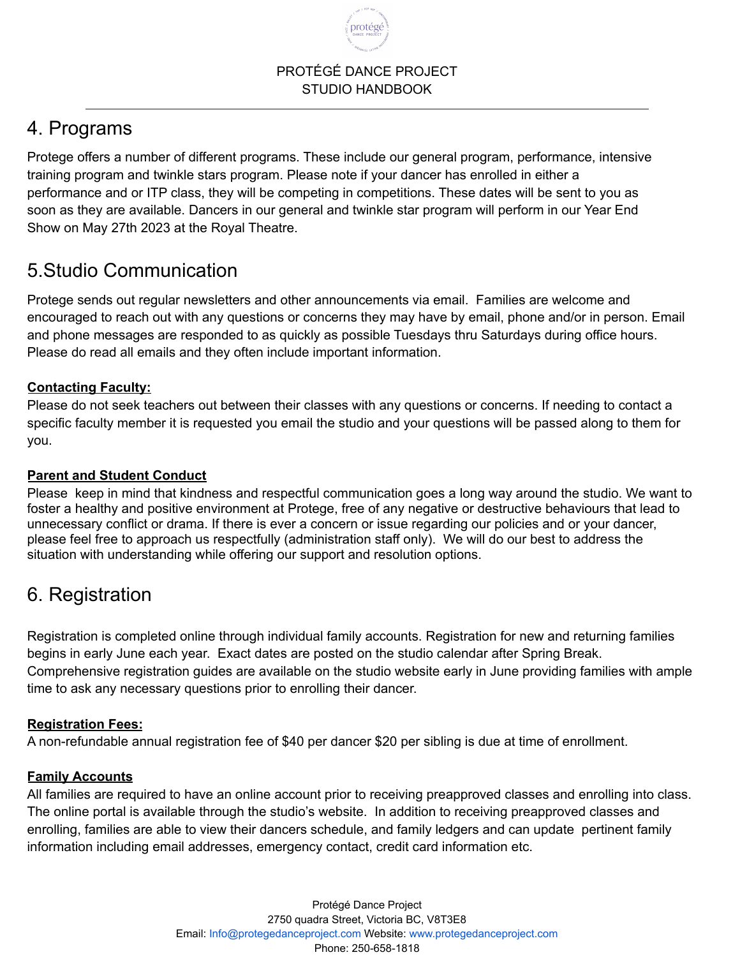protégi

### 4. Programs

Protege offers a number of different programs. These include our general program, performance, intensive training program and twinkle stars program. Please note if your dancer has enrolled in either a performance and or ITP class, they will be competing in competitions. These dates will be sent to you as soon as they are available. Dancers in our general and twinkle star program will perform in our Year End Show on May 27th 2023 at the Royal Theatre.

# 5.Studio Communication

Protege sends out regular newsletters and other announcements via email. Families are welcome and encouraged to reach out with any questions or concerns they may have by email, phone and/or in person. Email and phone messages are responded to as quickly as possible Tuesdays thru Saturdays during office hours. Please do read all emails and they often include important information.

### **Contacting Faculty:**

Please do not seek teachers out between their classes with any questions or concerns. If needing to contact a specific faculty member it is requested you email the studio and your questions will be passed along to them for you.

### **Parent and Student Conduct**

Please keep in mind that kindness and respectful communication goes a long way around the studio. We want to foster a healthy and positive environment at Protege, free of any negative or destructive behaviours that lead to unnecessary conflict or drama. If there is ever a concern or issue regarding our policies and or your dancer, please feel free to approach us respectfully (administration staff only). We will do our best to address the situation with understanding while offering our support and resolution options.

# 6. Registration

Registration is completed online through individual family accounts. Registration for new and returning families begins in early June each year. Exact dates are posted on the studio calendar after Spring Break. Comprehensive registration guides are available on the studio website early in June providing families with ample time to ask any necessary questions prior to enrolling their dancer.

### **Registration Fees:**

A non-refundable annual registration fee of \$40 per dancer \$20 per sibling is due at time of enrollment.

### **Family Accounts**

All families are required to have an online account prior to receiving preapproved classes and enrolling into class. The online portal is available through the studio's website. In addition to receiving preapproved classes and enrolling, families are able to view their dancers schedule, and family ledgers and can update pertinent family information including email addresses, emergency contact, credit card information etc.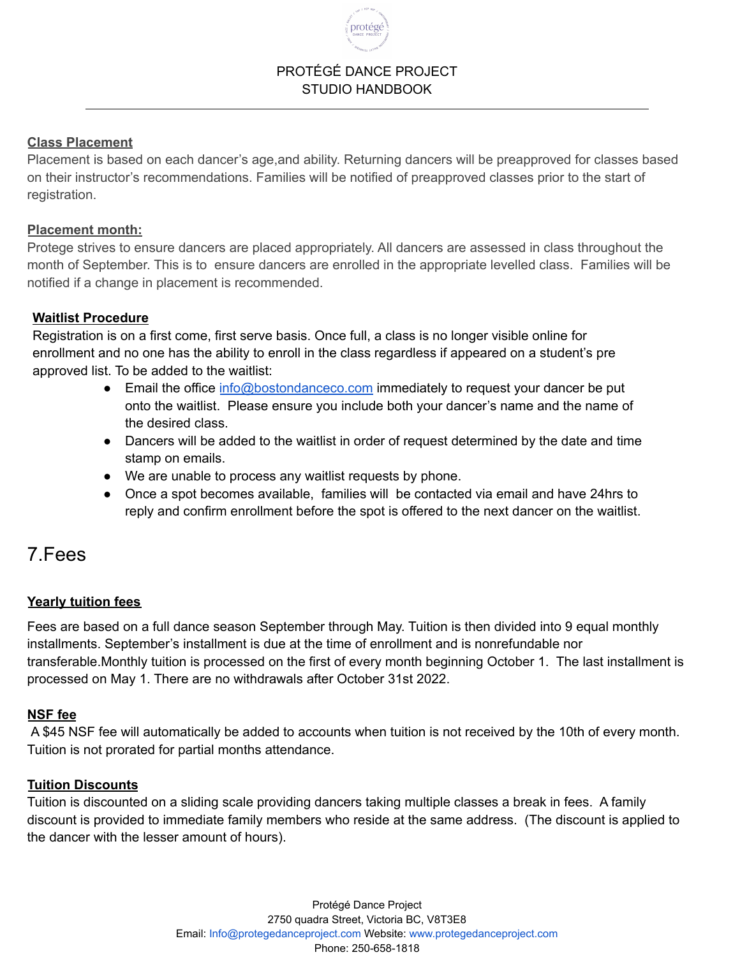protége

### **Class Placement**

Placement is based on each dancer's age,and ability. Returning dancers will be preapproved for classes based on their instructor's recommendations. Families will be notified of preapproved classes prior to the start of registration.

### **Placement month:**

Protege strives to ensure dancers are placed appropriately. All dancers are assessed in class throughout the month of September. This is to ensure dancers are enrolled in the appropriate levelled class. Families will be notified if a change in placement is recommended.

### **Waitlist Procedure**

Registration is on a first come, first serve basis. Once full, a class is no longer visible online for enrollment and no one has the ability to enroll in the class regardless if appeared on a student's pre approved list. To be added to the waitlist:

- Email the office info@bostondanceco.com immediately to request your dancer be put onto the waitlist. Please ensure you include both your dancer's name and the name of the desired class.
- Dancers will be added to the waitlist in order of request determined by the date and time stamp on emails.
- We are unable to process any waitlist requests by phone.
- Once a spot becomes available, families will be contacted via email and have 24hrs to reply and confirm enrollment before the spot is offered to the next dancer on the waitlist.

### 7.Fees

### **Yearly tuition fees**

Fees are based on a full dance season September through May. Tuition is then divided into 9 equal monthly installments. September's installment is due at the time of enrollment and is nonrefundable nor transferable.Monthly tuition is processed on the first of every month beginning October 1. The last installment is processed on May 1. There are no withdrawals after October 31st 2022.

### **NSF fee**

A \$45 NSF fee will automatically be added to accounts when tuition is not received by the 10th of every month. Tuition is not prorated for partial months attendance.

### **Tuition Discounts**

Tuition is discounted on a sliding scale providing dancers taking multiple classes a break in fees. A family discount is provided to immediate family members who reside at the same address. (The discount is applied to the dancer with the lesser amount of hours).

> Protégé Dance Project 2750 quadra Street, Victoria BC, V8T3E8 Email: Info@protegedanceproject.com Website: www.protegedanceproject.com Phone: 250-658-1818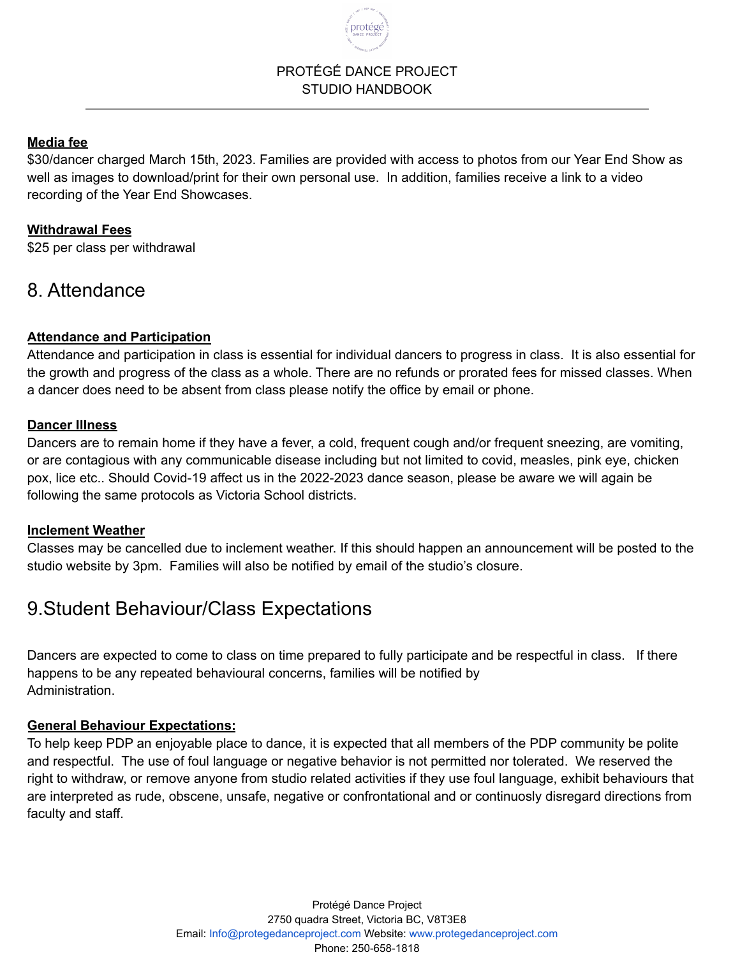protége

### **Media fee**

\$30/dancer charged March 15th, 2023. Families are provided with access to photos from our Year End Show as well as images to download/print for their own personal use. In addition, families receive a link to a video recording of the Year End Showcases.

### **Withdrawal Fees**

\$25 per class per withdrawal

### 8. Attendance

### **Attendance and Participation**

Attendance and participation in class is essential for individual dancers to progress in class. It is also essential for the growth and progress of the class as a whole. There are no refunds or prorated fees for missed classes. When a dancer does need to be absent from class please notify the office by email or phone.

### **Dancer Illness**

Dancers are to remain home if they have a fever, a cold, frequent cough and/or frequent sneezing, are vomiting, or are contagious with any communicable disease including but not limited to covid, measles, pink eye, chicken pox, lice etc.. Should Covid-19 affect us in the 2022-2023 dance season, please be aware we will again be following the same protocols as Victoria School districts.

### **Inclement Weather**

Classes may be cancelled due to inclement weather. If this should happen an announcement will be posted to the studio website by 3pm. Families will also be notified by email of the studio's closure.

# 9.Student Behaviour/Class Expectations

Dancers are expected to come to class on time prepared to fully participate and be respectful in class. If there happens to be any repeated behavioural concerns, families will be notified by Administration.

### **General Behaviour Expectations:**

To help keep PDP an enjoyable place to dance, it is expected that all members of the PDP community be polite and respectful. The use of foul language or negative behavior is not permitted nor tolerated. We reserved the right to withdraw, or remove anyone from studio related activities if they use foul language, exhibit behaviours that are interpreted as rude, obscene, unsafe, negative or confrontational and or continuosly disregard directions from faculty and staff.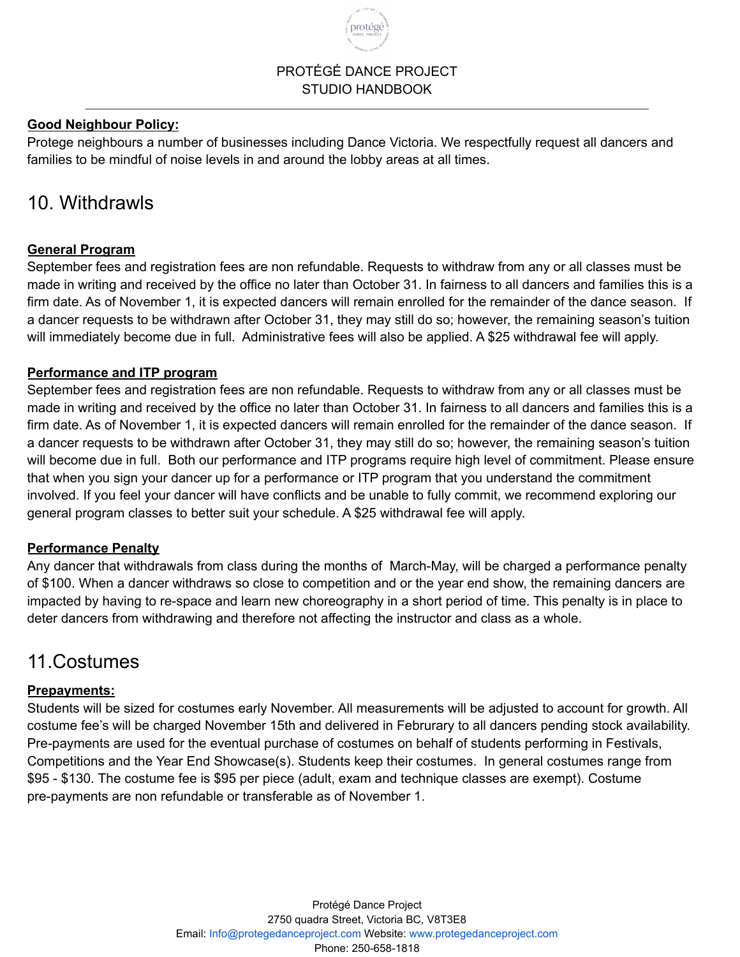protége

### **Good Neighbour Policy:**

Protege neighbours a number of businesses including Dance Victoria. We respectfully request all dancers and families to be mindful of noise levels in and around the lobby areas at all times.

### 10. Withdrawls

### **General Program**

September fees and registration fees are non refundable. Requests to withdraw from any or all classes must be made in writing and received by the office no later than October 31. In fairness to all dancers and families this is a firm date. As of November 1, it is expected dancers will remain enrolled for the remainder of the dance season. If a dancer requests to be withdrawn after October 31, they may still do so; however, the remaining season's tuition will immediately become due in full. Administrative fees will also be applied. A \$25 withdrawal fee will apply.

### **Performance and ITP program**

September fees and registration fees are non refundable. Requests to withdraw from any or all classes must be made in writing and received by the office no later than October 31. In fairness to all dancers and families this is a firm date. As of November 1, it is expected dancers will remain enrolled for the remainder of the dance season. If a dancer requests to be withdrawn after October 31, they may still do so; however, the remaining season's tuition will become due in full. Both our performance and ITP programs require high level of commitment. Please ensure that when you sign your dancer up for a performance or ITP program that you understand the commitment involved. If you feel your dancer will have conflicts and be unable to fully commit, we recommend exploring our general program classes to better suit your schedule. A \$25 withdrawal fee will apply.

### **Performance Penalty**

Any dancer that withdrawals from class during the months of March-May, will be charged a performance penalty of \$100. When a dancer withdraws so close to competition and or the year end show, the remaining dancers are impacted by having to re-space and learn new choreography in a short period of time. This penalty is in place to deter dancers from withdrawing and therefore not affecting the instructor and class as a whole.

### 11.Costumes

### **Prepayments:**

Students will be sized for costumes early November. All measurements will be adjusted to account for growth. All costume fee's will be charged November 15th and delivered in Februrary to all dancers pending stock availability. Pre-payments are used for the eventual purchase of costumes on behalf of students performing in Festivals, Competitions and the Year End Showcase(s). Students keep their costumes. In general costumes range from \$95 - \$130. The costume fee is \$95 per piece (adult, exam and technique classes are exempt). Costume pre-payments are non refundable or transferable as of November 1.

> Protégé Dance Project 2750 quadra Street, Victoria BC, V8T3E8 Email: Info@protegedanceproject.com Website: www.protegedanceproject.com Phone: 250-658-1818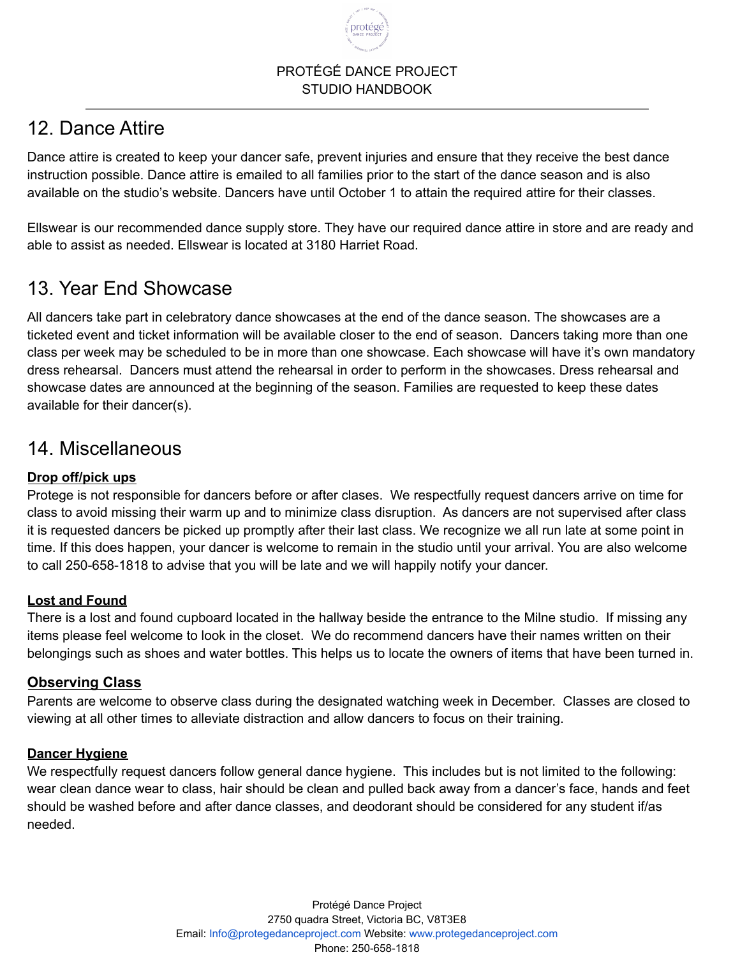protég

# 12. Dance Attire

Dance attire is created to keep your dancer safe, prevent injuries and ensure that they receive the best dance instruction possible. Dance attire is emailed to all families prior to the start of the dance season and is also available on the studio's website. Dancers have until October 1 to attain the required attire for their classes.

Ellswear is our recommended dance supply store. They have our required dance attire in store and are ready and able to assist as needed. Ellswear is located at 3180 Harriet Road.

### 13. Year End Showcase

All dancers take part in celebratory dance showcases at the end of the dance season. The showcases are a ticketed event and ticket information will be available closer to the end of season. Dancers taking more than one class per week may be scheduled to be in more than one showcase. Each showcase will have it's own mandatory dress rehearsal. Dancers must attend the rehearsal in order to perform in the showcases. Dress rehearsal and showcase dates are announced at the beginning of the season. Families are requested to keep these dates available for their dancer(s).

### 14. Miscellaneous

### **Drop off/pick ups**

Protege is not responsible for dancers before or after clases. We respectfully request dancers arrive on time for class to avoid missing their warm up and to minimize class disruption. As dancers are not supervised after class it is requested dancers be picked up promptly after their last class. We recognize we all run late at some point in time. If this does happen, your dancer is welcome to remain in the studio until your arrival. You are also welcome to call 250-658-1818 to advise that you will be late and we will happily notify your dancer.

### **Lost and Found**

There is a lost and found cupboard located in the hallway beside the entrance to the Milne studio. If missing any items please feel welcome to look in the closet. We do recommend dancers have their names written on their belongings such as shoes and water bottles. This helps us to locate the owners of items that have been turned in.

### **Observing Class**

Parents are welcome to observe class during the designated watching week in December. Classes are closed to viewing at all other times to alleviate distraction and allow dancers to focus on their training.

### **Dancer Hygiene**

We respectfully request dancers follow general dance hygiene. This includes but is not limited to the following: wear clean dance wear to class, hair should be clean and pulled back away from a dancer's face, hands and feet should be washed before and after dance classes, and deodorant should be considered for any student if/as needed.

> Protégé Dance Project 2750 quadra Street, Victoria BC, V8T3E8 Email: Info@protegedanceproject.com Website: www.protegedanceproject.com Phone: 250-658-1818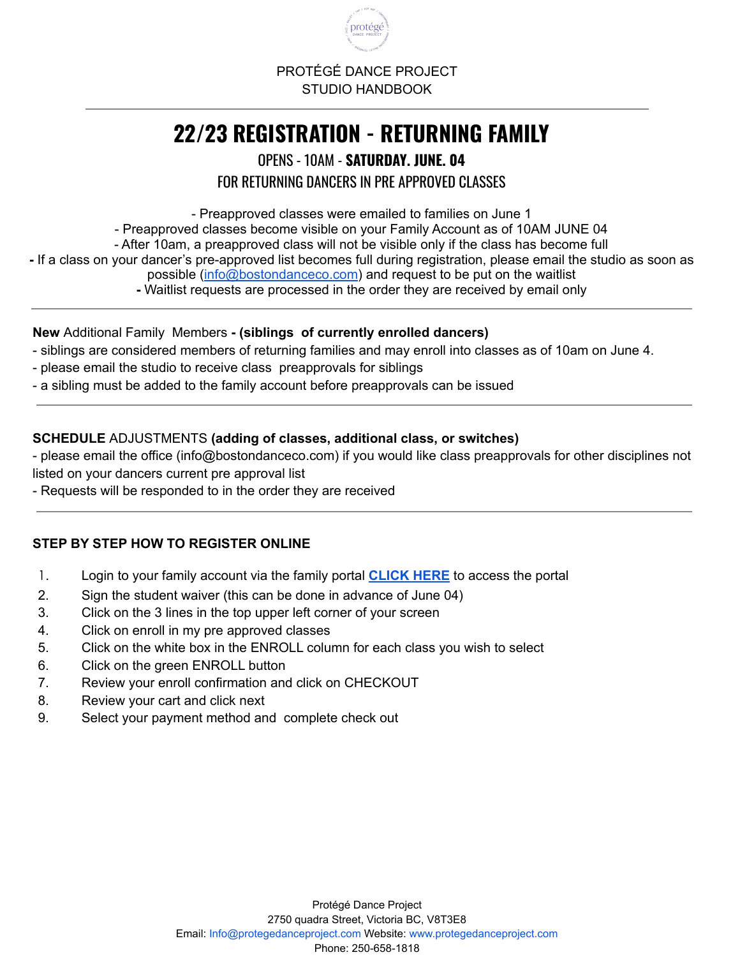

# **22/23 REGISTRATION - RETURNING FAMILY**

OPENS - 10AM - **SATURDAY. JUNE. 04**

FOR RETURNING DANCERS IN PRE APPROVED CLASSES

- Preapproved classes were emailed to families on June 1

- Preapproved classes become visible on your Family Account as of 10AM JUNE 04

- After 10am, a preapproved class will not be visible only if the class has become full

**-** If a class on your dancer's pre-approved list becomes full during registration, please email the studio as soon as

possible (info@bostondanceco.com) and request to be put on the waitlist

**-** Waitlist requests are processed in the order they are received by email only

**New** Additional Family Members **- (siblings of currently enrolled dancers)**

- siblings are considered members of returning families and may enroll into classes as of 10am on June 4.

- please email the studio to receive class preapprovals for siblings
- a sibling must be added to the family account before preapprovals can be issued

### **SCHEDULE** ADJUSTMENTS **(adding of classes, additional class, or switches)**

- please email the office (info@bostondanceco.com) if you would like class preapprovals for other disciplines not listed on your dancers current pre approval list

- Requests will be responded to in the order they are received

### **STEP BY STEP HOW TO REGISTER ONLINE**

- 1. Login to your family account via the family portal **CLICK HERE** to access the portal
- 2. Sign the student waiver (this can be done in advance of June 04)
- 3. Click on the 3 lines in the top upper left corner of your screen
- 4. Click on enroll in my pre approved classes
- 5. Click on the white box in the ENROLL column for each class you wish to select
- 6. Click on the green ENROLL button
- 7. Review your enroll confirmation and click on CHECKOUT
- 8. Review your cart and click next
- 9. Select your payment method and complete check out